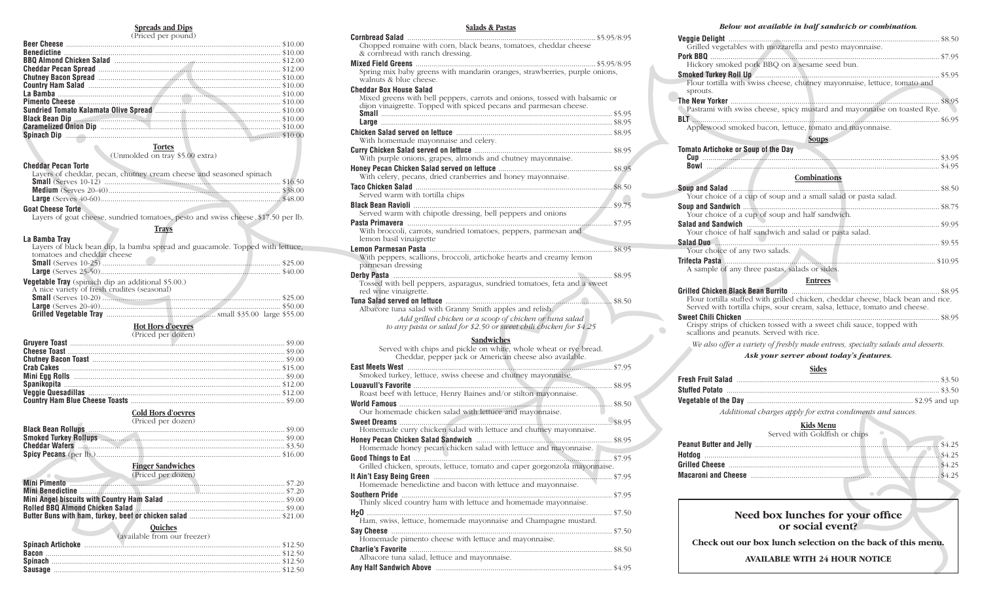#### **Spreads and Dips** (Priced per pound)

| $(1 \text{th} \text{cm} \text{pc})$ |  |
|-------------------------------------|--|
|                                     |  |
|                                     |  |
|                                     |  |
|                                     |  |
|                                     |  |
|                                     |  |
|                                     |  |
|                                     |  |
|                                     |  |
|                                     |  |
|                                     |  |
|                                     |  |
|                                     |  |

### **Tortes**

(Unmolded on tray \$5.00 extra)

#### **Cheddar Pecan Torte**

| Layers of cheddar, pecan, chutney cream cheese and seasoned spinach |  |
|---------------------------------------------------------------------|--|
|                                                                     |  |
|                                                                     |  |
|                                                                     |  |
| .                                                                   |  |

### **Goat Cheese Torte**

Layers of goat cheese, sundried tomatoes, pesto and swiss cheese. \$17.50 per lb.

# **Trays**

| La Bamba Tray                                                                 |  |
|-------------------------------------------------------------------------------|--|
| Layers of black bean dip, la bamba spread and guacamole. Topped with lettuce, |  |
| tomatoes and cheddar cheese                                                   |  |
|                                                                               |  |
|                                                                               |  |
| <b>Vegetable Tray</b> (spinach dip an additional \$5.00.)                     |  |
| A nice variety of fresh crudites (seasonal)                                   |  |
|                                                                               |  |
|                                                                               |  |
|                                                                               |  |

#### **Hot Hors d'oevres**  $(D_1, 1, \ldots, 1, \ldots, 1, \ldots, n)$

#### **Cold Hors d'oevres** (Priced per dozen)

| (THUGH PUT HUZUIT)                                                                                                 |  |
|--------------------------------------------------------------------------------------------------------------------|--|
|                                                                                                                    |  |
|                                                                                                                    |  |
| <b>Cheddar Wafers 3.50 Exercísion Cheddar Wafers 3.50 Exercísion Cheddar Wafers 3.50 Exercísion Cheddar Wafers</b> |  |
|                                                                                                                    |  |

# **Finger Sandwiches**

| Wini Pimento<br>Wini Pimento |  |
|------------------------------|--|
|                              |  |
|                              |  |
|                              |  |
|                              |  |

# **Quiches**

| (available from our freezer) |  |
|------------------------------|--|
|                              |  |
|                              |  |
|                              |  |
|                              |  |

# **Salads & Pastas**

| Chopped romaine with corn, black beans, tomatoes, cheddar cheese<br>& cornbread with ranch dressing.                                                                               |  |
|------------------------------------------------------------------------------------------------------------------------------------------------------------------------------------|--|
|                                                                                                                                                                                    |  |
| Spring mix baby greens with mandarin oranges, strawberries, purple onions,<br>walnuts & blue cheese.                                                                               |  |
| <b>Cheddar Box House Salad</b><br>Mixed greens with bell peppers, carrots and onions, tossed with balsamic or<br>dijon vinaigrette. Topped with spiced pecans and parmesan cheese. |  |
|                                                                                                                                                                                    |  |
| With homemade mayonnaise and celery.                                                                                                                                               |  |
| With purple onions, grapes, almonds and chutney mayonnaise.                                                                                                                        |  |
| With celery, pecans, dried cranberries and honey mayonnaise.                                                                                                                       |  |
| Served warm with tortilla chips                                                                                                                                                    |  |
| Served warm with chipotle dressing, bell peppers and onions                                                                                                                        |  |
| With broccoli, carrots, sundried tomatoes, peppers, parmesan and                                                                                                                   |  |
| lemon basil vinaigrette                                                                                                                                                            |  |
| With peppers, scallions, broccoli, artichoke hearts and creamy lemon<br>parmesan dressing                                                                                          |  |
|                                                                                                                                                                                    |  |
| Tossed with bell peppers, asparagus, sundried tomatoes, feta and a sweet<br>red wine vinaigrette.                                                                                  |  |
| Albacore tuna salad with Granny Smith apples and relish.                                                                                                                           |  |
| Add grilled chicken or a scoop of chicken or tuna salad<br>to any pasta or salad for \$2.50 or sweet chili chicken for \$4.25                                                      |  |
| Sandwiches                                                                                                                                                                         |  |
| Served with chips and pickle on white, whole wheat or rye bread.<br>Cheddar, pepper jack or American cheese also available.                                                        |  |
| Smoked turkey, lettuce, swiss cheese and chutney mayonnaise.                                                                                                                       |  |
| Roast beef with lettuce, Henry Baines and/or stilton mayonnaise.                                                                                                                   |  |
| Our homemade chicken salad with lettuce and mayonnaise.                                                                                                                            |  |
| Homemade curry chicken salad with lettuce and chutney mayonnaise.                                                                                                                  |  |
| Homemade honey pecan chicken salad with lettuce and mayonnaise.                                                                                                                    |  |
| Grilled chicken, sprouts, lettuce, tomato and caper gorgonzola mayonnaise.                                                                                                         |  |
| Homemade benedictine and bacon with lettuce and mayonnaise.                                                                                                                        |  |
| Thinly sliced country ham with lettuce and homemade mayonnaise.                                                                                                                    |  |
| Ham, swiss, lettuce, homemade mayonnaise and Champagne mustard.                                                                                                                    |  |
| Homemade pimento cheese with lettuce and mayonnaise.                                                                                                                               |  |
| Albacore tuna salad, lettuce and mayonnaise.                                                                                                                                       |  |

**Any Half Sandwich Above** ....................................................................................... \$4.95

## *Below not available in half sandwich or combination.*

| Grilled vegetables with mozzarella and pesto mayonnaise.                              |  |
|---------------------------------------------------------------------------------------|--|
| Pork BBO                                                                              |  |
| Hickory smoked pork BBQ on a sesame seed bun.                                         |  |
|                                                                                       |  |
| Flour tortilla with swiss cheese, chutney mayonnaise, lettuce, tomato and<br>sprouts. |  |
|                                                                                       |  |
| Pastrami with swiss cheese, spicy mustard and mayonnaise on toasted Rye.              |  |
|                                                                                       |  |
| Applewood smoked bacon, lettuce, tomato and mayonnaise.                               |  |
| Soups                                                                                 |  |
| <b>Tomato Artichoke or Soup of the Day</b>                                            |  |
|                                                                                       |  |
|                                                                                       |  |
| Combinations                                                                          |  |
|                                                                                       |  |
| Nous obojog of a gun of soun and a small saled or paste saled                         |  |

## Your choice of a cup of soup and a small salad or pasta salad. **Soup and Sandwich** ................................................................................................. \$8.75 Your choice of a cup of soup and half sandwich. **Salad and Sandwich** ............................................................................................... \$9.95 Your choice of half sandwich and salad or pasta salad. **Salad Duo** ............................................................................................................... \$9.55 Your choice of any two salads. **Trifecta Pasta** ........................................................................................................ \$10.95 A sample of any three pastas, salads or sides.

**Entrees**

**Grilled Chicken Black Bean Burrito** ......................................................................... \$8.95 Flour tortilla stuffed with grilled chicken, cheddar cheese, black bean and rice. Served with tortilla chips, sour cream, salsa, lettuce, tomato and cheese. **Sweet Chili Chicken** ................................................................................................ \$8.95 Crispy strips of chicken tossed with a sweet chili sauce, topped with scallions and peanuts. Served with rice.

*We also offer a variety of freshly made entrees, specialty salads and desserts.*

## *Ask your server about today's features.*

# **Sides**

*Additional charges apply for extra condiments and sauces.*

#### **Kids Menu** Served with Goldfish or chips

| Macaroni and Cheese manufactured and the S4.25 |
|------------------------------------------------|
|                                                |

# **Need box lunches for your office or social event?**

**Check out our box lunch selection on the back of this menu.**

**Available with 24 hour notice**